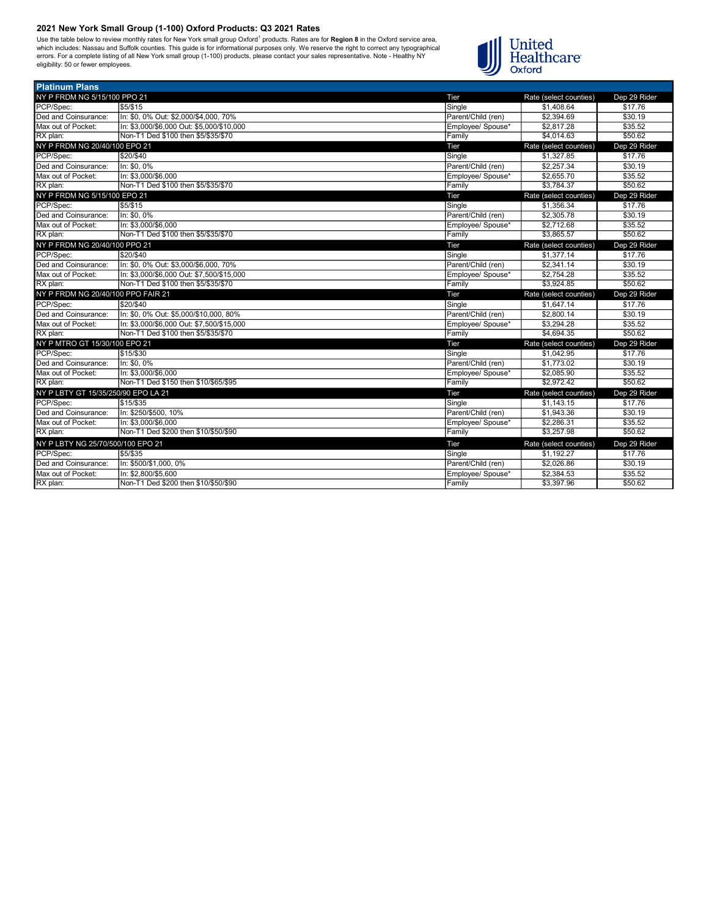Use the table below to review monthly rates for New York small group Oxford<sup>1</sup> products. Rates are for **Region 8** in the Oxford service area,<br>which includes: Nassau and Suffolk counties. This guide is for informational pur



| <b>Platinum Plans</b>               |                                           |                    |                        |              |
|-------------------------------------|-------------------------------------------|--------------------|------------------------|--------------|
| NY P FRDM NG 5/15/100 PPO 21        |                                           | Tier               | Rate (select counties) | Dep 29 Rider |
| PCP/Spec:                           | \$5/\$15                                  | Single             | \$1,408.64             | \$17.76      |
| Ded and Coinsurance:                | In: \$0, 0% Out: \$2,000/\$4,000, 70%     | Parent/Child (ren) | \$2,394.69             | \$30.19      |
| Max out of Pocket:                  | In: \$3.000/\$6.000 Out: \$5.000/\$10.000 | Employee/ Spouse*  | \$2.817.28             | \$35.52      |
| RX plan:                            | Non-T1 Ded \$100 then \$5/\$35/\$70       | Family             | \$4.014.63             | \$50.62      |
| NY P FRDM NG 20/40/100 EPO 21       |                                           | Tier               | Rate (select counties) | Dep 29 Rider |
| PCP/Spec:                           | \$20/\$40                                 | Single             | \$1,327.85             | \$17.76      |
| Ded and Coinsurance:                | In: \$0, 0%                               | Parent/Child (ren) | \$2,257.34             | \$30.19      |
| Max out of Pocket:                  | In: \$3,000/\$6,000                       | Employee/ Spouse*  | \$2,655.70             | \$35.52      |
| RX plan:                            | Non-T1 Ded \$100 then \$5/\$35/\$70       | Family             | \$3,784.37             | \$50.62      |
| NY P FRDM NG 5/15/100 EPO 21        |                                           | Tier               | Rate (select counties) | Dep 29 Rider |
| PCP/Spec:                           | 55/\$15                                   | Single             | \$1.356.34             | \$17.76      |
| Ded and Coinsurance:                | In: \$0, 0%                               | Parent/Child (ren) | \$2,305.78             | \$30.19      |
| Max out of Pocket:                  | In: \$3,000/\$6,000                       | Employee/ Spouse*  | \$2.712.68             | \$35.52      |
| RX plan:                            | Non-T1 Ded \$100 then \$5/\$35/\$70       | Family             | \$3.865.57             | \$50.62      |
| NY P FRDM NG 20/40/100 PPO 21       |                                           | Tier               | Rate (select counties) | Dep 29 Rider |
| PCP/Spec:                           | \$20/\$40                                 | Single             | \$1,377.14             | \$17.76      |
| Ded and Coinsurance:                | In: \$0, 0% Out: \$3,000/\$6,000, 70%     | Parent/Child (ren) | \$2,341.14             | \$30.19      |
| Max out of Pocket:                  | In: \$3.000/\$6.000 Out: \$7.500/\$15.000 | Employee/ Spouse*  | \$2.754.28             | \$35.52      |
| RX plan:                            | Non-T1 Ded \$100 then \$5/\$35/\$70       | Family             | \$3.924.85             | \$50.62      |
| NY P FRDM NG 20/40/100 PPO FAIR 21  |                                           | Tier               | Rate (select counties) | Dep 29 Rider |
| PCP/Spec:                           | \$20/\$40                                 | Single             | \$1.647.14             | \$17.76      |
| Ded and Coinsurance:                | In: \$0, 0% Out: \$5,000/\$10,000, 80%    | Parent/Child (ren) | \$2,800.14             | \$30.19      |
| Max out of Pocket:                  | In: \$3.000/\$6.000 Out: \$7.500/\$15.000 | Employee/ Spouse*  | \$3.294.28             | \$35.52      |
| RX plan:                            | Non-T1 Ded \$100 then \$5/\$35/\$70       | Family             | \$4.694.35             | \$50.62      |
| NY P MTRO GT 15/30/100 EPO 21       |                                           | Tier               | Rate (select counties) | Dep 29 Rider |
| PCP/Spec:                           | \$15/\$30                                 | Single             | \$1,042.95             | \$17.76      |
| Ded and Coinsurance:                | In: \$0, 0%                               | Parent/Child (ren) | \$1,773.02             | \$30.19      |
| Max out of Pocket:                  | In: \$3,000/\$6,000                       | Employee/ Spouse*  | \$2.085.90             | \$35.52      |
| RX plan:                            | Non-T1 Ded \$150 then \$10/\$65/\$95      | Family             | \$2,972.42             | \$50.62      |
| NY P LBTY GT 15/35/250/90 EPO LA 21 |                                           | Tier               | Rate (select counties) | Dep 29 Rider |
| PCP/Spec:                           | \$15/\$35                                 | Single             | \$1,143.15             | \$17.76      |
| Ded and Coinsurance:                | In: \$250/\$500, 10%                      | Parent/Child (ren) | \$1,943.36             | \$30.19      |
| Max out of Pocket:                  | In: \$3.000/\$6.000                       | Employee/ Spouse*  | \$2.286.31             | \$35.52      |
| RX plan:                            | Non-T1 Ded \$200 then \$10/\$50/\$90      | Family             | \$3,257.98             | \$50.62      |
| NY P LBTY NG 25/70/500/100 EPO 21   |                                           | Tier               | Rate (select counties) | Dep 29 Rider |
| PCP/Spec:                           | \$5/\$35                                  | Single             | \$1.192.27             | \$17.76      |
| Ded and Coinsurance:                | In: \$500/\$1,000, 0%                     | Parent/Child (ren) | \$2,026.86             | \$30.19      |
| Max out of Pocket:                  | In: \$2,800/\$5,600                       | Employee/ Spouse*  | \$2,384.53             | \$35.52      |
| RX plan:                            | Non-T1 Ded \$200 then \$10/\$50/\$90      | Family             | \$3,397.96             | \$50.62      |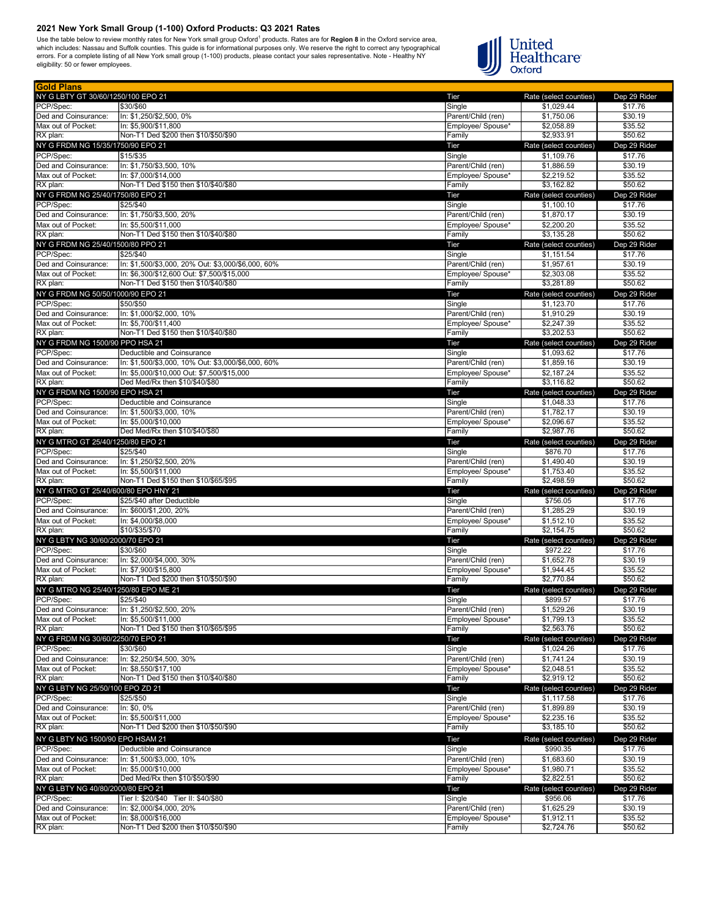Gold Plans

Use the table below to review monthly rates for New York small group Oxford<sup>1</sup> products. Rates are for **Region 8** in the Oxford service area,<br>which includes: Nassau and Suffolk counties. This guide is for informational pur



| эою гтанз<br>NY G LBTY GT 30/60/1250/100 EPO 21 |                                                                                                  | Tier                                    | Rate (select counties)             | Dep 29 Rider            |
|-------------------------------------------------|--------------------------------------------------------------------------------------------------|-----------------------------------------|------------------------------------|-------------------------|
| PCP/Spec:                                       | \$30/\$60                                                                                        | Single                                  | \$1,029.44                         | \$17.76                 |
| Ded and Coinsurance:                            | In: \$1,250/\$2,500, 0%                                                                          | Parent/Child (ren)                      | \$1,750.06                         | \$30.19                 |
| Max out of Pocket:                              | In: \$5,900/\$11,800                                                                             | Employee/ Spouse*                       | \$2,058.89                         | \$35.52                 |
| RX plan:                                        | Non-T1 Ded \$200 then \$10/\$50/\$90                                                             | Family                                  | \$2,933.91                         | \$50.62                 |
| NY G FRDM NG 15/35/1750/90 EPO 21               |                                                                                                  | Tier                                    | Rate (select counties)             | Dep 29 Rider            |
| PCP/Spec:                                       | \$15/\$35                                                                                        | Single                                  | \$1,109.76                         | \$17.76                 |
| Ded and Coinsurance:<br>Max out of Pocket:      | In: \$1,750/\$3,500, 10%<br>In: \$7,000/\$14,000                                                 | Parent/Child (ren)<br>Employee/ Spouse* | \$1,886.59<br>\$2,219.52           | \$30.19<br>\$35.52      |
| RX plan:                                        | Non-T1 Ded \$150 then \$10/\$40/\$80                                                             | Family                                  | \$3,162.82                         | \$50.62                 |
| NY G FRDM NG 25/40/1750/80 EPO 21               |                                                                                                  | Tier                                    | Rate (select counties)             | Dep 29 Rider            |
| PCP/Spec:                                       | \$25/\$40                                                                                        | Single                                  | \$1,100.10                         | \$17.76                 |
| Ded and Coinsurance:                            | In: \$1.750/\$3.500. 20%                                                                         | Parent/Child (ren)                      | \$1,870.17                         | \$30.19                 |
| Max out of Pocket:                              | In: \$5,500/\$11,000                                                                             | Employee/ Spouse*                       | \$2,200.20                         | \$35.52                 |
| RX plan:                                        | Non-T1 Ded \$150 then \$10/\$40/\$80                                                             | Family                                  | \$3,135.28                         | \$50.62                 |
| NY G FRDM NG 25/40/1500/80 PPO 21               |                                                                                                  | Tier                                    | Rate (select counties)             | Dep 29 Rider            |
| PCP/Spec:                                       | \$25/\$40                                                                                        | Single                                  | \$1,151.54                         | \$17.76                 |
| Ded and Coinsurance:<br>Max out of Pocket:      | In: \$1,500/\$3,000, 20% Out: \$3,000/\$6,000, 60%<br>In: \$6,300/\$12,600 Out: \$7,500/\$15,000 | Parent/Child (ren)<br>Employee/ Spouse* | \$1,957.61<br>\$2,303.08           | \$30.19<br>\$35.52      |
| RX plan:                                        | Non-T1 Ded \$150 then \$10/\$40/\$80                                                             | Family                                  | \$3,281.89                         | \$50.62                 |
| NY G FRDM NG 50/50/1000/90 EPO 21               |                                                                                                  | Tier                                    | Rate (select counties)             | Dep 29 Rider            |
| PCP/Spec:                                       | \$50/\$50                                                                                        | Single                                  | \$1,123.70                         | \$17.76                 |
| Ded and Coinsurance:                            | In: \$1,000/\$2,000, 10%                                                                         | Parent/Child (ren)                      | \$1,910.29                         | \$30.19                 |
| Max out of Pocket:                              | In: \$5,700/\$11,400                                                                             | Employee/ Spouse*                       | \$2,247.39                         | \$35.52                 |
| RX plan:                                        | Non-T1 Ded \$150 then \$10/\$40/\$80                                                             | Family                                  | \$3,202.53                         | \$50.62                 |
| NY G FRDM NG 1500/90 PPO HSA 21                 |                                                                                                  | Tier                                    | Rate (select counties)             | Dep 29 Rider            |
| PCP/Spec:<br>Ded and Coinsurance:               | Deductible and Coinsurance<br>In: \$1,500/\$3,000, 10% Out: \$3,000/\$6,000, 60%                 | Single<br>Parent/Child (ren)            | \$1,093.62<br>\$1,859.16           | \$17.76<br>\$30.19      |
| Max out of Pocket:                              | In: \$5,000/\$10,000 Out: \$7,500/\$15,000                                                       | Employee/ Spouse*                       | \$2,187.24                         | \$35.52                 |
| RX plan:                                        | Ded Med/Rx then \$10/\$40/\$80                                                                   | Family                                  | \$3,116.82                         | \$50.62                 |
| NY G FRDM NG 1500/90 EPO HSA 21                 |                                                                                                  | Tier                                    | Rate (select counties)             | Dep 29 Rider            |
| PCP/Spec:                                       | Deductible and Coinsurance                                                                       | Single                                  | \$1,048.33                         | \$17.76                 |
| Ded and Coinsurance:                            | In: \$1,500/\$3,000, 10%                                                                         | Parent/Child (ren)                      | \$1,782.17                         | \$30.19                 |
| Max out of Pocket:                              | In: \$5,000/\$10,000                                                                             | Employee/ Spouse*                       | \$2,096.67                         | \$35.52                 |
| RX plan:                                        | Ded Med/Rx then \$10/\$40/\$80                                                                   | Family                                  | \$2,987.76                         | \$50.62                 |
| NY G MTRO GT 25/40/1250/80 EPO 21<br>PCP/Spec:  | \$25/\$40                                                                                        | Tier<br>Single                          | Rate (select counties)<br>\$876.70 | Dep 29 Rider<br>\$17.76 |
| Ded and Coinsurance:                            | In: \$1,250/\$2,500, 20%                                                                         | Parent/Child (ren)                      | \$1,490.40                         | \$30.19                 |
| Max out of Pocket:                              | In: \$5,500/\$11,000                                                                             | Employee/ Spouse*                       | \$1,753.40                         | \$35.52                 |
| RX plan:                                        | Non-T1 Ded \$150 then \$10/\$65/\$95                                                             | Family                                  | \$2,498.59                         | \$50.62                 |
| NY G MTRO GT 25/40/600/80 EPO HNY 21            |                                                                                                  | Tier                                    | Rate (select counties)             | Dep 29 Rider            |
| PCP/Spec:                                       | \$25/\$40 after Deductible                                                                       | Single                                  | \$756.05                           | \$17.76                 |
| Ded and Coinsurance:                            | In: \$600/\$1,200, 20%                                                                           | Parent/Child (ren)                      | \$1,285.29                         | \$30.19                 |
| Max out of Pocket:                              | In: \$4,000/\$8,000<br>\$10/\$35/\$70                                                            | Employee/ Spouse*                       | \$1,512.10<br>\$2,154.75           | \$35.52<br>\$50.62      |
| RX plan:<br>NY G LBTY NG 30/60/2000/70 EPO 21   |                                                                                                  | Family<br>Tier                          | Rate (select counties)             | Dep 29 Rider            |
| PCP/Spec:                                       | \$30/\$60                                                                                        | Single                                  | \$972.22                           | \$17.76                 |
| Ded and Coinsurance:                            | In: \$2,000/\$4,000, 30%                                                                         | Parent/Child (ren)                      | \$1,652.78                         | \$30.19                 |
| Max out of Pocket:                              | In: \$7,900/\$15,800                                                                             | Employee/ Spouse*                       | \$1,944.45                         | \$35.52                 |
| RX plan:                                        | Non-T1 Ded \$200 then \$10/\$50/\$90                                                             | Family                                  | \$2,770.84                         | \$50.62                 |
| NY G MTRO NG 25/40/1250/80 EPO ME 21            |                                                                                                  | Tier                                    | Rate (select counties)             | Dep 29 Rider            |
| PCP/Spec:                                       | \$25/\$40                                                                                        | Single                                  | \$899.57                           | \$17.76                 |
| Ded and Coinsurance:                            | ln: \$1,250/\$2,500, 20%                                                                         | Parent/Child (ren)                      | \$1,529.26                         | \$30.19                 |
| Max out of Pocket:<br>RX plan:                  | In: \$5,500/\$11,000<br>Non-T1 Ded \$150 then \$10/\$65/\$95                                     | Employee/ Spouse*<br>Family             | \$1,799.13<br>\$2,563.76           | \$35.52<br>\$50.62      |
| NY G FRDM NG 30/60/2250/70 EPO 21               |                                                                                                  | Tier                                    | Rate (select counties)             | Dep 29 Rider            |
| PCP/Spec:                                       | \$30/\$60                                                                                        | Single                                  | \$1,024.26                         | \$17.76                 |
| Ded and Coinsurance:                            | In: \$2,250/\$4,500, 30%                                                                         | Parent/Child (ren)                      | \$1,741.24                         | \$30.19                 |
| Max out of Pocket:                              | In: \$8,550/\$17,100                                                                             | Employee/ Spouse*                       | \$2,048.51                         | \$35.52                 |
| RX plan:                                        | Non-T1 Ded \$150 then \$10/\$40/\$80                                                             | Family                                  | \$2,919.12                         | \$50.62                 |
| NY G LBTY NG 25/50/100 EPO ZD 21                |                                                                                                  | Tier                                    | Rate (select counties)             | Dep 29 Rider            |
| PCP/Spec:                                       | \$25/\$50                                                                                        | Single                                  | \$1,117.58                         | \$17.76                 |
| Ded and Coinsurance:                            | In: \$0, 0%                                                                                      | Parent/Child (ren)                      | \$1,899.89                         | \$30.19                 |
| Max out of Pocket:<br>RX plan:                  | In: \$5,500/\$11,000<br>Non-T1 Ded \$200 then \$10/\$50/\$90                                     | Employee/ Spouse*<br>Family             | \$2,235.16<br>\$3,185.10           | \$35.52<br>\$50.62      |
| NY G LBTY NG 1500/90 EPO HSAM 21                |                                                                                                  |                                         |                                    |                         |
| PCP/Spec:                                       | Deductible and Coinsurance                                                                       | Tier<br>Single                          | Rate (select counties)<br>\$990.35 | Dep 29 Rider<br>\$17.76 |
| Ded and Coinsurance:                            | In: \$1,500/\$3,000, 10%                                                                         | Parent/Child (ren)                      | \$1,683.60                         | \$30.19                 |
| Max out of Pocket:                              | In: \$5,000/\$10,000                                                                             | Employee/ Spouse*                       | \$1,980.71                         | \$35.52                 |
| RX plan:                                        | Ded Med/Rx then \$10/\$50/\$90                                                                   | Family                                  | \$2,822.51                         | \$50.62                 |
| NY G LBTY NG 40/80/2000/80 EPO 21               |                                                                                                  | Tier                                    | Rate (select counties)             | Dep 29 Rider            |
| PCP/Spec:                                       | Tier I: \$20/\$40 Tier II: \$40/\$80                                                             | Single                                  | \$956.06                           | \$17.76                 |
| Ded and Coinsurance:                            | In: \$2,000/\$4,000, 20%                                                                         | Parent/Child (ren)                      | \$1,625.29                         | \$30.19                 |
| Max out of Pocket:                              | In: \$8,000/\$16,000                                                                             | Employee/ Spouse*                       | \$1,912.11                         | \$35.52                 |
| RX plan:                                        | Non-T1 Ded \$200 then \$10/\$50/\$90                                                             | Family                                  | \$2,724.76                         | \$50.62                 |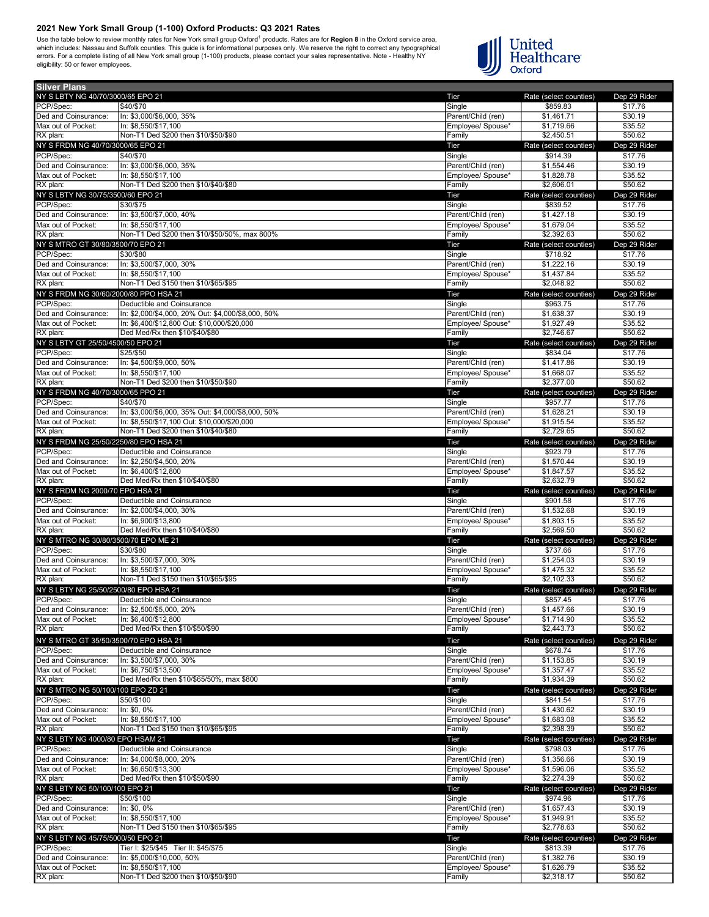Use the table below to review monthly rates for New York small group Oxford<sup>1</sup> products. Rates are for **Region 8** in the Oxford service area,<br>which includes: Nassau and Suffolk counties. This guide is for informational pur



| <b>Silver Plans</b>                                |                                                                                                   |                                         |                                    |                         |
|----------------------------------------------------|---------------------------------------------------------------------------------------------------|-----------------------------------------|------------------------------------|-------------------------|
| NY S LBTY NG 40/70/3000/65 EPO 21                  |                                                                                                   | Tier                                    | Rate (select counties)             | Dep 29 Rider            |
| PCP/Spec:                                          | \$40/\$70                                                                                         | Single                                  | \$859.83                           | \$17.76                 |
| Ded and Coinsurance:<br>Max out of Pocket:         | In: \$3,000/\$6,000, 35%<br>In: \$8,550/\$17,100                                                  | Parent/Child (ren)<br>Employee/ Spouse* | \$1,461.71<br>\$1,719.66           | \$30.19<br>\$35.52      |
| RX plan:                                           | Non-T1 Ded \$200 then \$10/\$50/\$90                                                              | Family                                  | \$2,450.51                         | \$50.62                 |
| NY S FRDM NG 40/70/3000/65 EPO 21                  |                                                                                                   | Tier                                    | Rate (select counties)             | Dep 29 Rider            |
| PCP/Spec:                                          | \$40/\$70                                                                                         | Single                                  | \$914.39                           | \$17.76                 |
| Ded and Coinsurance:                               | In: \$3,000/\$6,000, 35%                                                                          | Parent/Child (ren)                      | \$1,554.46                         | \$30.19                 |
| Max out of Pocket:                                 | In: \$8.550/\$17.100                                                                              | Employee/ Spouse*                       | \$1,828.78                         | \$35.52                 |
| RX plan:                                           | Non-T1 Ded \$200 then \$10/\$40/\$80                                                              | Family                                  | \$2,606.01                         | \$50.62                 |
| NY S LBTY NG 30/75/3500/60 EPO 21                  |                                                                                                   | Tier                                    | Rate (select counties)             | Dep 29 Rider            |
| PCP/Spec:                                          | \$30/\$75                                                                                         | Single                                  | \$839.52                           | \$17.76<br>\$30.19      |
| Ded and Coinsurance:<br>Max out of Pocket:         | In: \$3,500/\$7,000, 40%<br>In: \$8,550/\$17,100                                                  | Parent/Child (ren)<br>Emplovee/ Spouse* | \$1,427.18<br>\$1,679.04           | \$35.52                 |
| RX plan:                                           | Non-T1 Ded \$200 then \$10/\$50/50%, max 800%                                                     | Family                                  | \$2,392.63                         | \$50.62                 |
| NY S MTRO GT 30/80/3500/70 EPO 21                  |                                                                                                   | Tier                                    | Rate (select counties)             | Dep 29 Rider            |
| PCP/Spec:                                          | \$30/\$80                                                                                         | Single                                  | \$718.92                           | \$17.76                 |
| Ded and Coinsurance:                               | In: \$3,500/\$7,000, 30%                                                                          | Parent/Child (ren)                      | \$1,222.16                         | \$30.19                 |
| Max out of Pocket:                                 | In: \$8.550/\$17.100                                                                              | Employee/ Spouse*                       | \$1,437.84                         | \$35.52                 |
| RX plan:                                           | Non-T1 Ded \$150 then \$10/\$65/\$95                                                              | Family                                  | \$2,048.92                         | \$50.62                 |
| NY S FRDM NG 30/60/2000/80 PPO HSA 21              |                                                                                                   | Tier                                    | Rate (select counties)             | Dep 29 Rider            |
| PCP/Spec:                                          | Deductible and Coinsurance                                                                        | Single                                  | \$963.75                           | \$17.76                 |
| Ded and Coinsurance:                               | In: \$2,000/\$4,000, 20% Out: \$4,000/\$8,000, 50%                                                | Parent/Child (ren)                      | \$1,638.37                         | \$30.19                 |
| Max out of Pocket:<br>RX plan:                     | In: \$6,400/\$12,800 Out: \$10,000/\$20,000<br>Ded Med/Rx then \$10/\$40/\$80                     | Employee/ Spouse*<br>Family             | \$1,927.49<br>\$2,746.67           | \$35.52<br>\$50.62      |
| NY S LBTY GT 25/50/4500/50 EPO 21                  |                                                                                                   | Tier                                    | Rate (select counties)             | Dep 29 Rider            |
| PCP/Spec:                                          | \$25/\$50                                                                                         | Single                                  | \$834.04                           | \$17.76                 |
| Ded and Coinsurance:                               | In: \$4,500/\$9,000, 50%                                                                          | Parent/Child (ren)                      | \$1,417.86                         | \$30.19                 |
| Max out of Pocket:                                 | In: \$8,550/\$17,100                                                                              | Emplovee/ Spouse*                       | \$1,668.07                         | \$35.52                 |
| RX plan:                                           | Non-T1 Ded \$200 then \$10/\$50/\$90                                                              | Family                                  | \$2,377.00                         | \$50.62                 |
| NY S FRDM NG 40/70/3000/65 PPO 21                  |                                                                                                   | Tier                                    | Rate (select counties)             | Dep 29 Rider            |
| PCP/Spec:                                          | \$40/\$70                                                                                         | Single                                  | \$957.77                           | \$17.76                 |
| Ded and Coinsurance:<br>Max out of Pocket:         | In: \$3,000/\$6,000, 35% Out: \$4,000/\$8,000, 50%<br>In: \$8,550/\$17,100 Out: \$10,000/\$20,000 | Parent/Child (ren)                      | \$1,628.21<br>\$1,915.54           | \$30.19<br>\$35.52      |
| RX plan:                                           | Non-T1 Ded \$200 then \$10/\$40/\$80                                                              | Employee/ Spouse*<br>Family             | \$2,729.65                         | \$50.62                 |
| NY S FRDM NG 25/50/2250/80 EPO HSA 21              |                                                                                                   | Tier                                    | Rate (select counties)             | Dep 29 Rider            |
| PCP/Spec:                                          | Deductible and Coinsurance                                                                        | Single                                  | \$923.79                           | \$17.76                 |
| Ded and Coinsurance:                               | In: \$2,250/\$4,500, 20%                                                                          | Parent/Child (ren)                      | \$1,570.44                         | \$30.19                 |
| Max out of Pocket:                                 | In: \$6,400/\$12,800                                                                              | Employee/ Spouse*                       | \$1,847.57                         | \$35.52                 |
| RX plan:                                           | Ded Med/Rx then \$10/\$40/\$80                                                                    | Family                                  | \$2,632.79                         | \$50.62                 |
|                                                    |                                                                                                   |                                         |                                    |                         |
| NY S FRDM NG 2000/70 EPO HSA 21                    |                                                                                                   | Tier                                    | Rate (select counties)             | Dep 29 Rider            |
| PCP/Spec:                                          | Deductible and Coinsurance                                                                        | Single                                  | \$901.58                           | \$17.76                 |
| Ded and Coinsurance:                               | In: \$2,000/\$4,000, 30%                                                                          | Parent/Child (ren)                      | \$1,532.68                         | \$30.19                 |
| Max out of Pocket:                                 | In: \$6,900/\$13.800                                                                              | Employee/ Spouse*                       | \$1,803.15                         | \$35.52                 |
| RX plan:<br>NY S MTRO NG 30/80/3500/70 EPO ME 21   | Ded Med/Rx then \$10/\$40/\$80                                                                    | Family                                  | \$2,569.50                         | \$50.62                 |
| PCP/Spec:                                          | \$30/\$80                                                                                         | Tier<br>Single                          | Rate (select counties)<br>\$737.66 | Dep 29 Rider<br>\$17.76 |
| Ded and Coinsurance:                               | In: \$3,500/\$7,000, 30%                                                                          | Parent/Child (ren)                      | \$1,254.03                         | \$30.19                 |
| Max out of Pocket:                                 | In: \$8,550/\$17,100                                                                              | Employee/ Spouse*                       | \$1,475.32                         | \$35.52                 |
| RX plan:                                           | Non-T1 Ded \$150 then \$10/\$65/\$95                                                              | Family                                  | \$2,102.33                         | \$50.62                 |
| NY S LBTY NG 25/50/2500/80 EPO HSA 21              |                                                                                                   | Tier                                    | Rate (select counties)             | Dep 29 Rider            |
| PCP/Spec:                                          | Deductible and Coinsurance                                                                        | Single                                  | \$857.45                           | \$17.76                 |
| Ded and Coinsurance:                               | In: \$2,500/\$5,000, 20%                                                                          | Parent/Child (ren)                      | \$1,457.66                         | \$30.19                 |
| Max out of Pocket:<br>RX plan:                     | In: \$6,400/\$12,800<br>Ded Med/Rx then \$10/\$50/\$90                                            | Employee/ Spouse*<br>Family             | \$1,714.90<br>\$2,443.73           | \$35.52<br>\$50.62      |
|                                                    |                                                                                                   |                                         |                                    |                         |
| NY S MTRO GT 35/50/3500/70 EPO HSA 21<br>PCP/Spec: | Deductible and Coinsurance                                                                        | Tier<br>Single                          | Rate (select counties)<br>\$678.74 | Dep 29 Rider<br>\$17.76 |
| Ded and Coinsurance:                               | In: \$3,500/\$7,000, 30%                                                                          | Parent/Child (ren)                      | \$1,153.85                         | \$30.19                 |
| Max out of Pocket:                                 | In: \$6,750/\$13,500                                                                              | Employee/ Spouse*                       | \$1,357.47                         | \$35.52                 |
| RX plan:                                           | Ded Med/Rx then \$10/\$65/50%, max \$800                                                          | Family                                  | \$1,934.39                         | \$50.62                 |
| NY S MTRO NG 50/100/100 EPO ZD 21                  |                                                                                                   | Tier                                    | Rate (select counties)             | Dep 29 Rider            |
| PCP/Spec:                                          | \$50/\$100                                                                                        | Single                                  | \$841.54                           | \$17.76                 |
| Ded and Coinsurance:                               | In: \$0, 0%                                                                                       | Parent/Child (ren)                      | \$1,430.62                         | \$30.19                 |
| Max out of Pocket:                                 | In: \$8.550/\$17.100                                                                              | Employee/ Spouse*                       | \$1,683.08                         | \$35.52                 |
| RX plan:                                           | Non-T1 Ded \$150 then \$10/\$65/\$95                                                              | Family                                  | \$2,398.39                         | \$50.62                 |
| NY S LBTY NG 4000/80 EPO HSAM 21<br>PCP/Spec:      | Deductible and Coinsurance                                                                        | Tier                                    | Rate (select counties)<br>\$798.03 | Dep 29 Rider<br>\$17.76 |
| Ded and Coinsurance:                               | In: \$4,000/\$8,000, 20%                                                                          | Single<br>Parent/Child (ren)            | \$1,356.66                         | \$30.19                 |
| Max out of Pocket:                                 | In: \$6,650/\$13,300                                                                              | Employee/ Spouse*                       | \$1,596.06                         | \$35.52                 |
| RX plan:                                           | Ded Med/Rx then \$10/\$50/\$90                                                                    | Family                                  | \$2,274.39                         | \$50.62                 |
| NY S LBTY NG 50/100/100 EPO 21                     |                                                                                                   | Tier                                    | Rate (select counties)             | Dep 29 Rider            |
| PCP/Spec:                                          | \$50/\$100                                                                                        | Single                                  | \$974.96                           | \$17.76                 |
| Ded and Coinsurance:                               | In: \$0, 0%                                                                                       | Parent/Child (ren)                      | \$1,657.43                         | \$30.19                 |
| Max out of Pocket:                                 | In: \$8,550/\$17,100                                                                              | Employee/ Spouse*                       | \$1,949.91                         | \$35.52                 |
| RX plan:                                           | Non-T1 Ded \$150 then \$10/\$65/\$95                                                              | Family                                  | \$2,778.63                         | \$50.62                 |
| NY S LBTY NG 45/75/5000/50 EPO 21<br>PCP/Spec:     |                                                                                                   | Tier                                    | Rate (select counties)             | Dep 29 Rider            |
| Ded and Coinsurance:                               | Tier I: \$25/\$45 Tier II: \$45/\$75<br>In: \$5,000/\$10,000, 50%                                 | Single<br>Parent/Child (ren)            | \$813.39<br>\$1,382.76             | \$17.76<br>\$30.19      |
| Max out of Pocket:                                 | In: \$8,550/\$17,100                                                                              | Employee/ Spouse*                       | \$1,626.79                         | \$35.52                 |